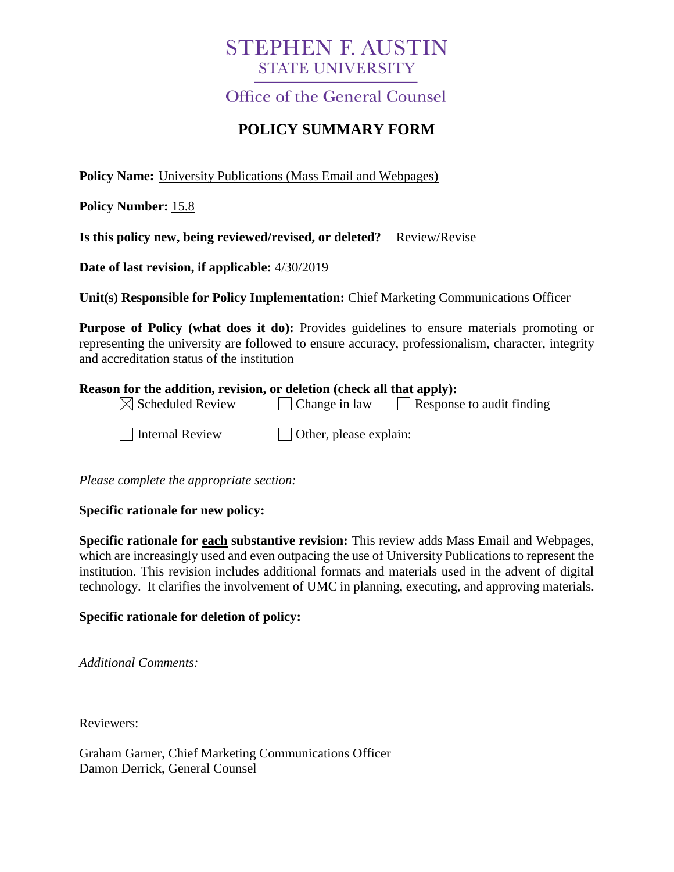# **STEPHEN F. AUSTIN STATE UNIVERSITY**

Office of the General Counsel

## **POLICY SUMMARY FORM**

**Policy Name:** University Publications (Mass Email and Webpages)

**Policy Number:** 15.8

**Is this policy new, being reviewed/revised, or deleted?** Review/Revise

**Date of last revision, if applicable:** 4/30/2019

**Unit(s) Responsible for Policy Implementation:** Chief Marketing Communications Officer

**Purpose of Policy (what does it do):** Provides guidelines to ensure materials promoting or representing the university are followed to ensure accuracy, professionalism, character, integrity and accreditation status of the institution

#### **Reason for the addition, revision, or deletion (check all that apply):**

| $\boxtimes$ Scheduled Review | $\vert$ Change in law          | Response to audit finding |
|------------------------------|--------------------------------|---------------------------|
| Internal Review              | $\vert$ Other, please explain: |                           |

*Please complete the appropriate section:*

#### **Specific rationale for new policy:**

**Specific rationale for each substantive revision:** This review adds Mass Email and Webpages, which are increasingly used and even outpacing the use of University Publications to represent the institution. This revision includes additional formats and materials used in the advent of digital technology. It clarifies the involvement of UMC in planning, executing, and approving materials.

#### **Specific rationale for deletion of policy:**

*Additional Comments:*

Reviewers:

Graham Garner, Chief Marketing Communications Officer Damon Derrick, General Counsel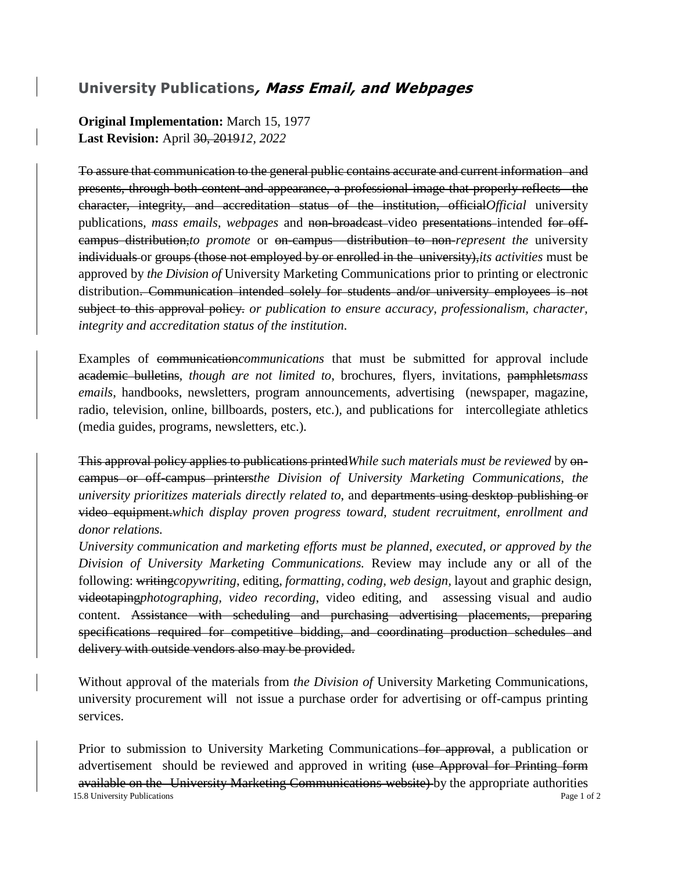### **University Publications, Mass Email, and Webpages**

**Original Implementation:** March 15, 1977 **Last Revision:** April 30, 2019*12, 2022*

To assure that communication to the general public contains accurate and current information and presents, through both content and appearance, a professional image that properly reflects the character, integrity, and accreditation status of the institution, official*Official* university publications, *mass emails*, webpages and non-broadcast-video presentations-intended for offcampus distribution,*to promote* or on-campus distribution to non-*represent the* university individuals or groups (those not employed by or enrolled in the university),*its activities* must be approved by *the Division of* University Marketing Communications prior to printing or electronic distribution. Communication intended solely for students and/or university employees is not subject to this approval policy. *or publication to ensure accuracy, professionalism, character, integrity and accreditation status of the institution.* 

Examples of communication*communications* that must be submitted for approval include academic bulletins*, though are not limited to*, brochures, flyers, invitations, pamphlets*mass emails*, handbooks, newsletters, program announcements, advertising (newspaper, magazine, radio, television, online, billboards, posters, etc.)*,* and publications for intercollegiate athletics (media guides, programs, newsletters, etc.).

This approval policy applies to publications printed*While such materials must be reviewed* by oncampus or off-campus printers*the Division of University Marketing Communications, the university prioritizes materials directly related to*, and departments using desktop publishing or video equipment.*which display proven progress toward, student recruitment, enrollment and donor relations.*

*University communication and marketing efforts must be planned, executed, or approved by the Division of University Marketing Communications.* Review may include any or all of the following: writing*copywriting*, editing, *formatting, coding, web design,* layout and graphic design, videotaping*photographing, video recording*, video editing, and assessing visual and audio content. Assistance with scheduling and purchasing advertising placements, preparing specifications required for competitive bidding, and coordinating production schedules and delivery with outside vendors also may be provided.

Without approval of the materials from *the Division of* University Marketing Communications, university procurement will not issue a purchase order for advertising or off-campus printing services.

15.8 University Publications **Page 1 of 2** Page 1 of 2 Prior to submission to University Marketing Communications for approval, a publication or advertisement should be reviewed and approved in writing (use Approval for Printing form available on the University Marketing Communications website) by the appropriate authorities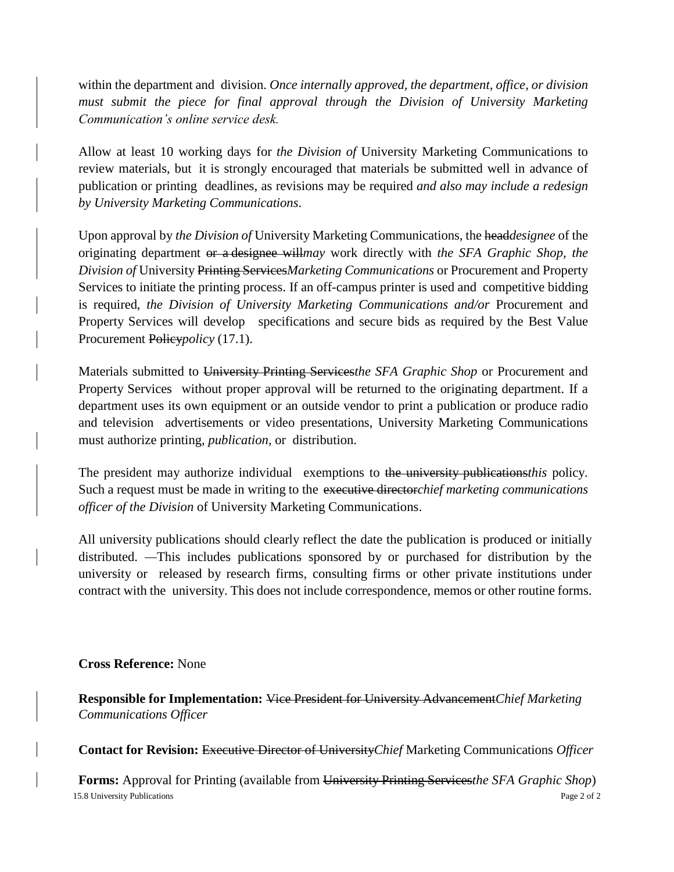within the department and division. *Once internally approved, the department, office, or division must submit the piece for final approval through the Division of University Marketing Communication's online service desk.*

Allow at least 10 working days for *the Division of* University Marketing Communications to review materials, but it is strongly encouraged that materials be submitted well in advance of publication or printing deadlines, as revisions may be required *and also may include a redesign by University Marketing Communications*.

Upon approval by *the Division of* University Marketing Communications, the head*designee* of the originating department or a designee will*may* work directly with *the SFA Graphic Shop, the Division of* University Printing Services*Marketing Communications* or Procurement and Property Services to initiate the printing process. If an off-campus printer is used and competitive bidding is required, *the Division of University Marketing Communications and/or* Procurement and Property Services will develop specifications and secure bids as required by the Best Value Procurement Policy*policy* (17.1).

Materials submitted to University Printing Services*the SFA Graphic Shop* or Procurement and Property Services without proper approval will be returned to the originating department. If a department uses its own equipment or an outside vendor to print a publication or produce radio and television advertisements or video presentations, University Marketing Communications must authorize printing*, publication,* or distribution.

The president may authorize individual exemptions to the university publications*this* policy. Such a request must be made in writing to the executive director*chief marketing communications officer of the Division* of University Marketing Communications.

All university publications should clearly reflect the date the publication is produced or initially distributed. This includes publications sponsored by or purchased for distribution by the university or released by research firms, consulting firms or other private institutions under contract with the university. This does not include correspondence, memos or other routine forms.

#### **Cross Reference:** None

**Responsible for Implementation:** Vice President for University Advancement*Chief Marketing Communications Officer*

**Contact for Revision:** Executive Director of University*Chief* Marketing Communications *Officer*

15.8 University Publications **Page 2 of 2** Page 2 of 2 **Forms:** Approval for Printing (available from University Printing Services*the SFA Graphic Shop*)